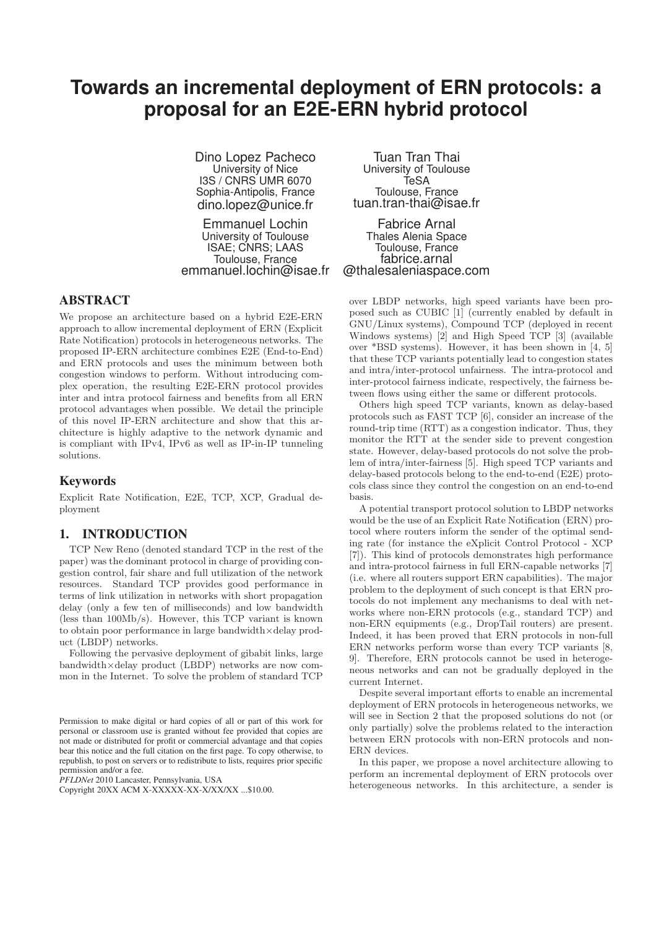# **Towards an incremental deployment of ERN protocols: a proposal for an E2E-ERN hybrid protocol**

Dino Lopez Pacheco University of Nice I3S / CNRS UMR 6070 Sophia-Antipolis, France dino.lopez@unice.fr

Emmanuel Lochin University of Toulouse ISAE; CNRS; LAAS Toulouse, France emmanuel.lochin@isae.fr

# **ABSTRACT**

We propose an architecture based on a hybrid E2E-ERN approach to allow incremental deployment of ERN (Explicit Rate Notification) protocols in heterogeneous networks. The proposed IP-ERN architecture combines E2E (End-to-End) and ERN protocols and uses the minimum between both congestion windows to perform. Without introducing complex operation, the resulting E2E-ERN protocol provides inter and intra protocol fairness and benefits from all ERN protocol advantages when possible. We detail the principle of this novel IP-ERN architecture and show that this architecture is highly adaptive to the network dynamic and is compliant with IPv4, IPv6 as well as IP-in-IP tunneling solutions.

# **Keywords**

Explicit Rate Notification, E2E, TCP, XCP, Gradual deployment

# **1. INTRODUCTION**

TCP New Reno (denoted standard TCP in the rest of the paper) was the dominant protocol in charge of providing congestion control, fair share and full utilization of the network resources. Standard TCP provides good performance in terms of link utilization in networks with short propagation delay (only a few ten of milliseconds) and low bandwidth (less than 100Mb/s). However, this TCP variant is known to obtain poor performance in large bandwidth×delay product (LBDP) networks.

Following the pervasive deployment of gibabit links, large bandwidth×delay product (LBDP) networks are now common in the Internet. To solve the problem of standard TCP

*PFLDNet* 2010 Lancaster, Pennsylvania, USA

Tuan Tran Thai University of Toulouse TeSA Toulouse, France tuan.tran-thai@isae.fr

Fabrice Arnal Thales Alenia Space Toulouse, France fabrice.arnal @thalesaleniaspace.com

over LBDP networks, high speed variants have been proposed such as CUBIC [1] (currently enabled by default in GNU/Linux systems), Compound TCP (deployed in recent Windows systems) [2] and High Speed TCP [3] (available over \*BSD systems). However, it has been shown in [4, 5] that these TCP variants potentially lead to congestion states and intra/inter-protocol unfairness. The intra-protocol and inter-protocol fairness indicate, respectively, the fairness between flows using either the same or different protocols.

Others high speed TCP variants, known as delay-based protocols such as FAST TCP [6], consider an increase of the round-trip time (RTT) as a congestion indicator. Thus, they monitor the RTT at the sender side to prevent congestion state. However, delay-based protocols do not solve the problem of intra/inter-fairness [5]. High speed TCP variants and delay-based protocols belong to the end-to-end (E2E) protocols class since they control the congestion on an end-to-end basis.

A potential transport protocol solution to LBDP networks would be the use of an Explicit Rate Notification (ERN) protocol where routers inform the sender of the optimal sending rate (for instance the eXplicit Control Protocol - XCP [7]). This kind of protocols demonstrates high performance and intra-protocol fairness in full ERN-capable networks [7] (i.e. where all routers support ERN capabilities). The major problem to the deployment of such concept is that ERN protocols do not implement any mechanisms to deal with networks where non-ERN protocols (e.g., standard TCP) and non-ERN equipments (e.g., DropTail routers) are present. Indeed, it has been proved that ERN protocols in non-full ERN networks perform worse than every TCP variants [8, 9]. Therefore, ERN protocols cannot be used in heterogeneous networks and can not be gradually deployed in the current Internet.

Despite several important efforts to enable an incremental deployment of ERN protocols in heterogeneous networks, we will see in Section 2 that the proposed solutions do not (or only partially) solve the problems related to the interaction between ERN protocols with non-ERN protocols and non-ERN devices.

In this paper, we propose a novel architecture allowing to perform an incremental deployment of ERN protocols over heterogeneous networks. In this architecture, a sender is

Permission to make digital or hard copies of all or part of this work for personal or classroom use is granted without fee provided that copies are not made or distributed for profit or commercial advantage and that copies bear this notice and the full citation on the first page. To copy otherwise, to republish, to post on servers or to redistribute to lists, requires prior specific permission and/or a fee.

Copyright 20XX ACM X-XXXXX-XX-X/XX/XX ...\$10.00.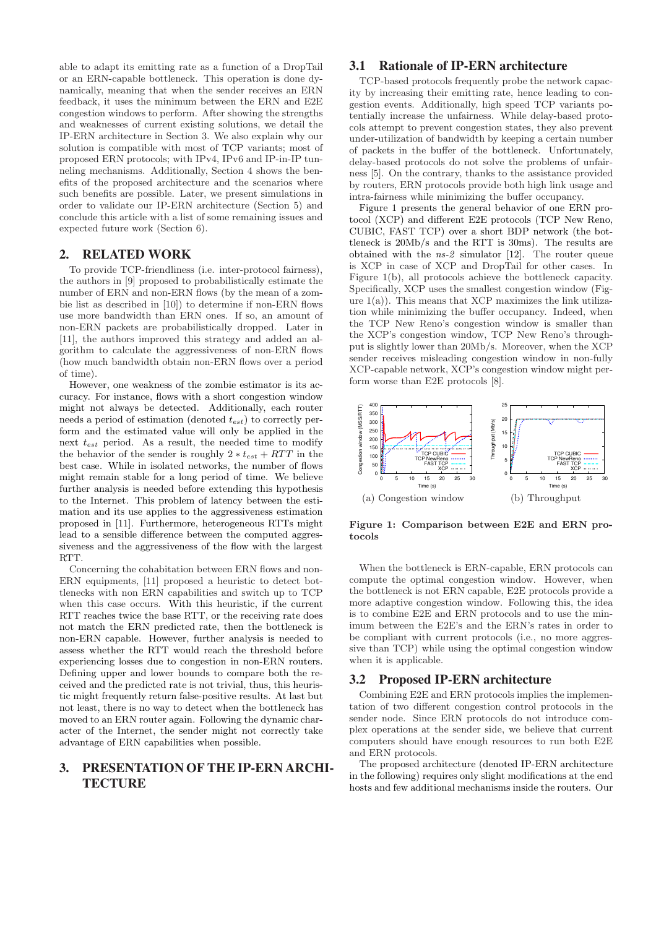able to adapt its emitting rate as a function of a DropTail or an ERN-capable bottleneck. This operation is done dynamically, meaning that when the sender receives an ERN feedback, it uses the minimum between the ERN and E2E congestion windows to perform. After showing the strengths and weaknesses of current existing solutions, we detail the IP-ERN architecture in Section 3. We also explain why our solution is compatible with most of TCP variants; most of proposed ERN protocols; with IPv4, IPv6 and IP-in-IP tunneling mechanisms. Additionally, Section 4 shows the benefits of the proposed architecture and the scenarios where such benefits are possible. Later, we present simulations in order to validate our IP-ERN architecture (Section 5) and conclude this article with a list of some remaining issues and expected future work (Section 6).

### **2. RELATED WORK**

To provide TCP-friendliness (i.e. inter-protocol fairness), the authors in [9] proposed to probabilistically estimate the number of ERN and non-ERN flows (by the mean of a zombie list as described in [10]) to determine if non-ERN flows use more bandwidth than ERN ones. If so, an amount of non-ERN packets are probabilistically dropped. Later in [11], the authors improved this strategy and added an algorithm to calculate the aggressiveness of non-ERN flows (how much bandwidth obtain non-ERN flows over a period of time).

However, one weakness of the zombie estimator is its accuracy. For instance, flows with a short congestion window might not always be detected. Additionally, each router needs a period of estimation (denoted  $t_{est}$ ) to correctly perform and the estimated value will only be applied in the next  $t_{est}$  period. As a result, the needed time to modify the behavior of the sender is roughly  $2 * t_{est} + RTT$  in the best case. While in isolated networks, the number of flows might remain stable for a long period of time. We believe further analysis is needed before extending this hypothesis to the Internet. This problem of latency between the estimation and its use applies to the aggressiveness estimation proposed in [11]. Furthermore, heterogeneous RTTs might lead to a sensible difference between the computed aggressiveness and the aggressiveness of the flow with the largest RTT.

Concerning the cohabitation between ERN flows and non-ERN equipments, [11] proposed a heuristic to detect bottlenecks with non ERN capabilities and switch up to TCP when this case occurs. With this heuristic, if the current RTT reaches twice the base RTT, or the receiving rate does not match the ERN predicted rate, then the bottleneck is non-ERN capable. However, further analysis is needed to assess whether the RTT would reach the threshold before experiencing losses due to congestion in non-ERN routers. Defining upper and lower bounds to compare both the received and the predicted rate is not trivial, thus, this heuristic might frequently return false-positive results. At last but not least, there is no way to detect when the bottleneck has moved to an ERN router again. Following the dynamic character of the Internet, the sender might not correctly take advantage of ERN capabilities when possible.

# **3. PRESENTATION OF THE IP-ERN ARCHI-TECTURE**

# **3.1 Rationale of IP-ERN architecture**

TCP-based protocols frequently probe the network capacity by increasing their emitting rate, hence leading to congestion events. Additionally, high speed TCP variants potentially increase the unfairness. While delay-based protocols attempt to prevent congestion states, they also prevent under-utilization of bandwidth by keeping a certain number of packets in the buffer of the bottleneck. Unfortunately, delay-based protocols do not solve the problems of unfairness [5]. On the contrary, thanks to the assistance provided by routers, ERN protocols provide both high link usage and intra-fairness while minimizing the buffer occupancy.

Figure 1 presents the general behavior of one ERN protocol (XCP) and different E2E protocols (TCP New Reno, CUBIC, FAST TCP) over a short BDP network (the bottleneck is 20Mb/s and the RTT is 30ms). The results are obtained with the  $ns-2$  simulator [12]. The router queue is XCP in case of XCP and DropTail for other cases. In Figure 1(b), all protocols achieve the bottleneck capacity. Specifically, XCP uses the smallest congestion window (Figure  $1(a)$ ). This means that XCP maximizes the link utilization while minimizing the buffer occupancy. Indeed, when the TCP New Reno's congestion window is smaller than the XCP's congestion window, TCP New Reno's throughput is slightly lower than 20Mb/s. Moreover, when the XCP sender receives misleading congestion window in non-fully XCP-capable network, XCP's congestion window might perform worse than E2E protocols [8].



Figure 1: Comparison between E2E and ERN protocols

When the bottleneck is ERN-capable, ERN protocols can compute the optimal congestion window. However, when the bottleneck is not ERN capable, E2E protocols provide a more adaptive congestion window. Following this, the idea is to combine E2E and ERN protocols and to use the minimum between the E2E's and the ERN's rates in order to be compliant with current protocols (i.e., no more aggressive than TCP) while using the optimal congestion window when it is applicable.

# **3.2 Proposed IP-ERN architecture**

Combining E2E and ERN protocols implies the implementation of two different congestion control protocols in the sender node. Since ERN protocols do not introduce complex operations at the sender side, we believe that current computers should have enough resources to run both E2E and ERN protocols.

The proposed architecture (denoted IP-ERN architecture in the following) requires only slight modifications at the end hosts and few additional mechanisms inside the routers. Our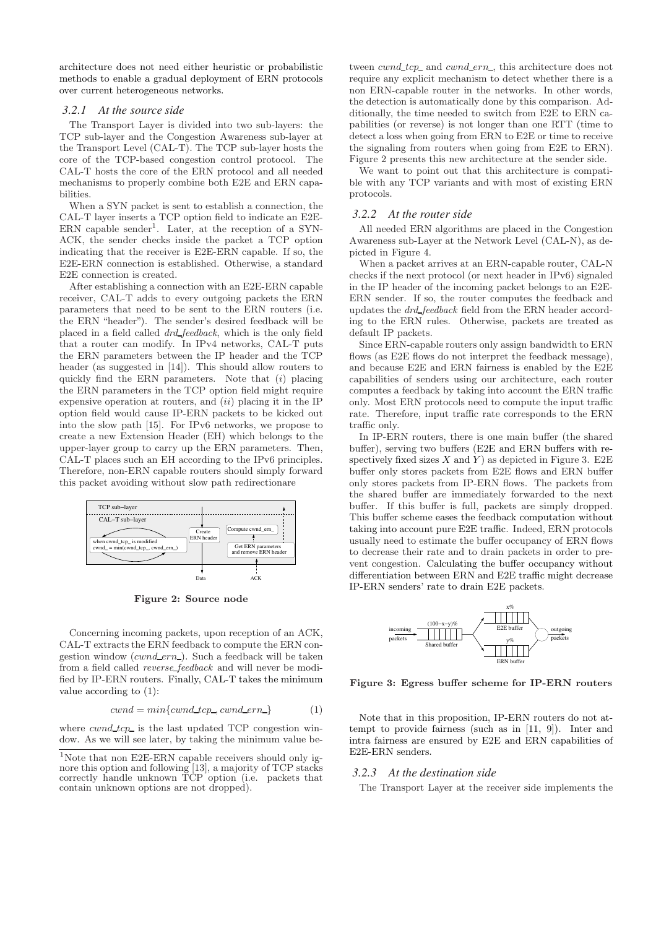architecture does not need either heuristic or probabilistic methods to enable a gradual deployment of ERN protocols over current heterogeneous networks.

#### *3.2.1 At the source side*

The Transport Layer is divided into two sub-layers: the TCP sub-layer and the Congestion Awareness sub-layer at the Transport Level (CAL-T). The TCP sub-layer hosts the core of the TCP-based congestion control protocol. The CAL-T hosts the core of the ERN protocol and all needed mechanisms to properly combine both E2E and ERN capabilities.

When a SYN packet is sent to establish a connection, the CAL-T layer inserts a TCP option field to indicate an E2E- $ERN$  capable sender<sup>1</sup>. Later, at the reception of a SYN-ACK, the sender checks inside the packet a TCP option indicating that the receiver is E2E-ERN capable. If so, the E2E-ERN connection is established. Otherwise, a standard E2E connection is created.

After establishing a connection with an E2E-ERN capable receiver, CAL-T adds to every outgoing packets the ERN parameters that need to be sent to the ERN routers (i.e. the ERN "header"). The sender's desired feedback will be placed in a field called drd feedback, which is the only field that a router can modify. In IPv4 networks, CAL-T puts the ERN parameters between the IP header and the TCP header (as suggested in [14]). This should allow routers to quickly find the ERN parameters. Note that (i) placing the ERN parameters in the TCP option field might require expensive operation at routers, and  $(ii)$  placing it in the IP option field would cause IP-ERN packets to be kicked out into the slow path [15]. For IPv6 networks, we propose to create a new Extension Header (EH) which belongs to the upper-layer group to carry up the ERN parameters. Then, CAL-T places such an EH according to the IPv6 principles. Therefore, non-ERN capable routers should simply forward this packet avoiding without slow path redirectionare



Figure 2: Source node

Concerning incoming packets, upon reception of an ACK, CAL-T extracts the ERN feedback to compute the ERN congestion window  $(cwnd\_ern_$ ). Such a feedback will be taken from a field called reverse feedback and will never be modified by IP-ERN routers. Finally, CAL-T takes the minimum value according to (1):

$$
cwnd = min\{cwnd\_tcp\_, cwnd\_ern\} \tag{1}
$$

where  $cwnd\_tcp\_$  is the last updated TCP congestion window. As we will see later, by taking the minimum value be-

<sup>1</sup>Note that non E2E-ERN capable receivers should only ignore this option and following [13], a majority of TCP stacks correctly handle unknown TCP option (i.e. packets that contain unknown options are not dropped).

tween *cwnd\_tcp\_* and *cwnd\_ern\_*, this architecture does not require any explicit mechanism to detect whether there is a non ERN-capable router in the networks. In other words, the detection is automatically done by this comparison. Additionally, the time needed to switch from E2E to ERN capabilities (or reverse) is not longer than one RTT (time to detect a loss when going from ERN to E2E or time to receive the signaling from routers when going from E2E to ERN). Figure 2 presents this new architecture at the sender side.

We want to point out that this architecture is compatible with any TCP variants and with most of existing ERN protocols.

#### *3.2.2 At the router side*

All needed ERN algorithms are placed in the Congestion Awareness sub-Layer at the Network Level (CAL-N), as depicted in Figure 4.

When a packet arrives at an ERN-capable router, CAL-N checks if the next protocol (or next header in IPv6) signaled in the IP header of the incoming packet belongs to an E2E-ERN sender. If so, the router computes the feedback and updates the drd feedback field from the ERN header according to the ERN rules. Otherwise, packets are treated as default IP packets.

Since ERN-capable routers only assign bandwidth to ERN flows (as E2E flows do not interpret the feedback message), and because E2E and ERN fairness is enabled by the E2E capabilities of senders using our architecture, each router computes a feedback by taking into account the ERN traffic only. Most ERN protocols need to compute the input traffic rate. Therefore, input traffic rate corresponds to the ERN traffic only.

In IP-ERN routers, there is one main buffer (the shared buffer), serving two buffers (E2E and ERN buffers with respectively fixed sizes X and Y as depicted in Figure 3. E2E buffer only stores packets from E2E flows and ERN buffer only stores packets from IP-ERN flows. The packets from the shared buffer are immediately forwarded to the next buffer. If this buffer is full, packets are simply dropped. This buffer scheme eases the feedback computation without taking into account pure E2E traffic. Indeed, ERN protocols usually need to estimate the buffer occupancy of ERN flows to decrease their rate and to drain packets in order to prevent congestion. Calculating the buffer occupancy without differentiation between ERN and E2E traffic might decrease IP-ERN senders' rate to drain E2E packets.



Figure 3: Egress buffer scheme for IP-ERN routers

Note that in this proposition, IP-ERN routers do not attempt to provide fairness (such as in [11, 9]). Inter and intra fairness are ensured by E2E and ERN capabilities of E2E-ERN senders.

#### *3.2.3 At the destination side*

The Transport Layer at the receiver side implements the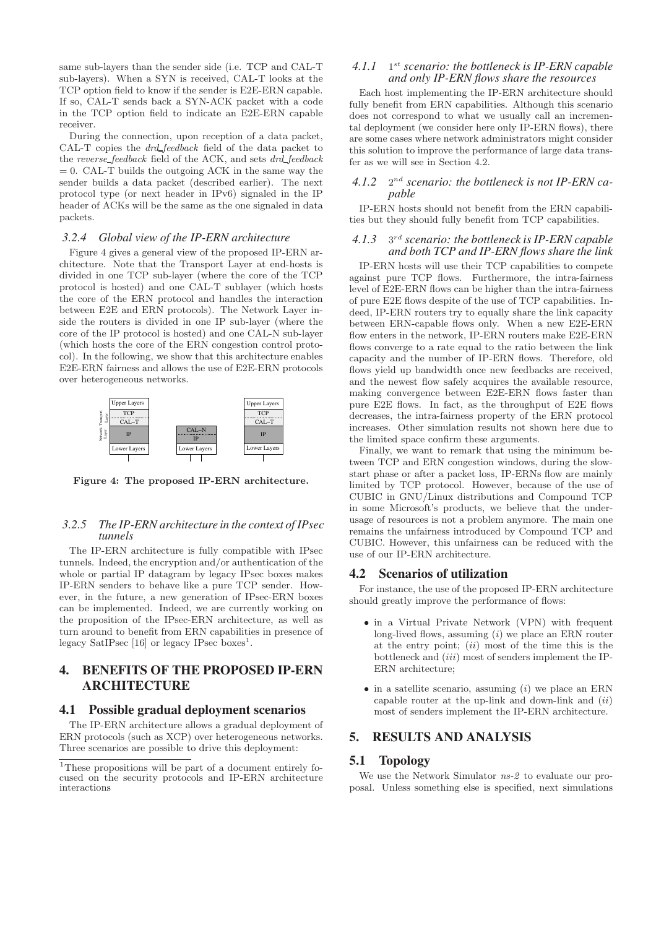same sub-layers than the sender side (i.e. TCP and CAL-T sub-layers). When a SYN is received, CAL-T looks at the TCP option field to know if the sender is E2E-ERN capable. If so, CAL-T sends back a SYN-ACK packet with a code in the TCP option field to indicate an E2E-ERN capable receiver.

During the connection, upon reception of a data packet, CAL-T copies the drd feedback field of the data packet to the reverse\_feedback field of the ACK, and sets drd\_feedback  $= 0$ . CAL-T builds the outgoing ACK in the same way the sender builds a data packet (described earlier). The next protocol type (or next header in IPv6) signaled in the IP header of ACKs will be the same as the one signaled in data packets.

#### *3.2.4 Global view of the IP-ERN architecture*

Figure 4 gives a general view of the proposed IP-ERN architecture. Note that the Transport Layer at end-hosts is divided in one TCP sub-layer (where the core of the TCP protocol is hosted) and one CAL-T sublayer (which hosts the core of the ERN protocol and handles the interaction between E2E and ERN protocols). The Network Layer inside the routers is divided in one IP sub-layer (where the core of the IP protocol is hosted) and one CAL-N sub-layer (which hosts the core of the ERN congestion control protocol). In the following, we show that this architecture enables E2E-ERN fairness and allows the use of E2E-ERN protocols over heterogeneous networks.



Figure 4: The proposed IP-ERN architecture.

#### *3.2.5 The IP-ERN architecture in the context of IPsec tunnels*

The IP-ERN architecture is fully compatible with IPsec tunnels. Indeed, the encryption and/or authentication of the whole or partial IP datagram by legacy IPsec boxes makes IP-ERN senders to behave like a pure TCP sender. However, in the future, a new generation of IPsec-ERN boxes can be implemented. Indeed, we are currently working on the proposition of the IPsec-ERN architecture, as well as turn around to benefit from ERN capabilities in presence of legacy SatIPsec  $[16]$  or legacy IPsec boxes<sup>1</sup>.

# **4. BENEFITS OF THE PROPOSED IP-ERN ARCHITECTURE**

#### **4.1 Possible gradual deployment scenarios**

The IP-ERN architecture allows a gradual deployment of ERN protocols (such as XCP) over heterogeneous networks. Three scenarios are possible to drive this deployment:

# *4.1.1* 1 st *scenario: the bottleneck is IP-ERN capable and only IP-ERN flows share the resources*

Each host implementing the IP-ERN architecture should fully benefit from ERN capabilities. Although this scenario does not correspond to what we usually call an incremental deployment (we consider here only IP-ERN flows), there are some cases where network administrators might consider this solution to improve the performance of large data transfer as we will see in Section 4.2.

# *4.1.2* 2 nd *scenario: the bottleneck is not IP-ERN capable*

IP-ERN hosts should not benefit from the ERN capabilities but they should fully benefit from TCP capabilities.

# *4.1.3* 3 rd *scenario: the bottleneck is IP-ERN capable and both TCP and IP-ERN flows share the link*

IP-ERN hosts will use their TCP capabilities to compete against pure TCP flows. Furthermore, the intra-fairness level of E2E-ERN flows can be higher than the intra-fairness of pure E2E flows despite of the use of TCP capabilities. Indeed, IP-ERN routers try to equally share the link capacity between ERN-capable flows only. When a new E2E-ERN flow enters in the network, IP-ERN routers make E2E-ERN flows converge to a rate equal to the ratio between the link capacity and the number of IP-ERN flows. Therefore, old flows yield up bandwidth once new feedbacks are received, and the newest flow safely acquires the available resource, making convergence between E2E-ERN flows faster than pure E2E flows. In fact, as the throughput of E2E flows decreases, the intra-fairness property of the ERN protocol increases. Other simulation results not shown here due to the limited space confirm these arguments.

Finally, we want to remark that using the minimum between TCP and ERN congestion windows, during the slowstart phase or after a packet loss, IP-ERNs flow are mainly limited by TCP protocol. However, because of the use of CUBIC in GNU/Linux distributions and Compound TCP in some Microsoft's products, we believe that the underusage of resources is not a problem anymore. The main one remains the unfairness introduced by Compound TCP and CUBIC. However, this unfairness can be reduced with the use of our IP-ERN architecture.

#### **4.2 Scenarios of utilization**

For instance, the use of the proposed IP-ERN architecture should greatly improve the performance of flows:

- in a Virtual Private Network (VPN) with frequent long-lived flows, assuming  $(i)$  we place an ERN router at the entry point;  $(ii)$  most of the time this is the bottleneck and *(iii)* most of senders implement the IP-ERN architecture;
- in a satellite scenario, assuming  $(i)$  we place an ERN capable router at the up-link and down-link and  $(ii)$ most of senders implement the IP-ERN architecture.

# **5. RESULTS AND ANALYSIS**

#### **5.1 Topology**

We use the Network Simulator  $ns-2$  to evaluate our proposal. Unless something else is specified, next simulations

<sup>&</sup>lt;sup>1</sup>These propositions will be part of a document entirely focused on the security protocols and IP-ERN architecture interactions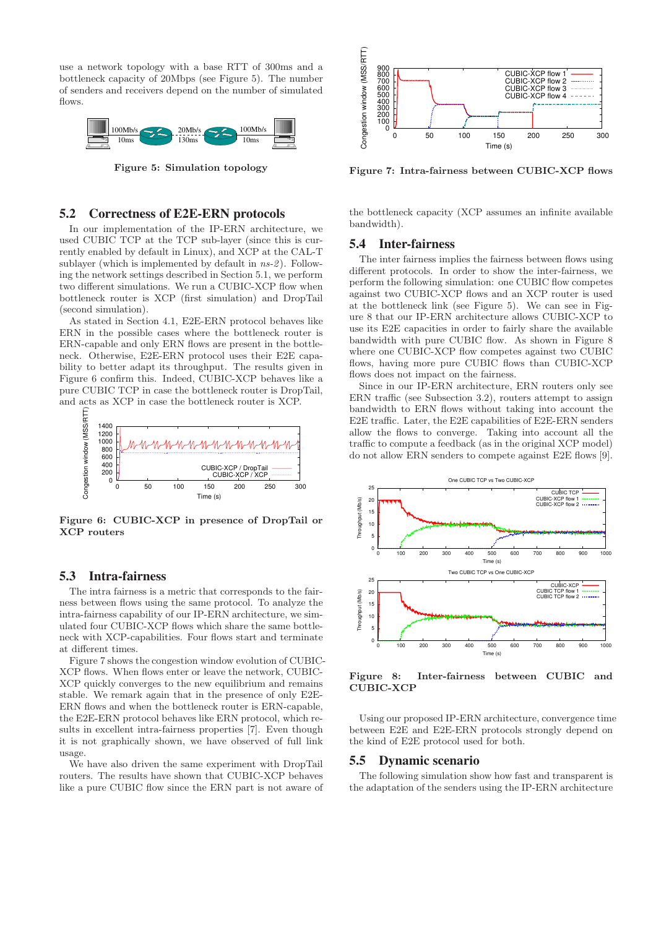use a network topology with a base RTT of 300ms and a bottleneck capacity of 20Mbps (see Figure 5). The number of senders and receivers depend on the number of simulated flows.



Figure 5: Simulation topology

### **5.2 Correctness of E2E-ERN protocols**

In our implementation of the IP-ERN architecture, we used CUBIC TCP at the TCP sub-layer (since this is currently enabled by default in Linux), and XCP at the CAL-T sublayer (which is implemented by default in  $ns-2$ ). Following the network settings described in Section 5.1, we perform two different simulations. We run a CUBIC-XCP flow when bottleneck router is XCP (first simulation) and DropTail (second simulation).

As stated in Section 4.1, E2E-ERN protocol behaves like ERN in the possible cases where the bottleneck router is ERN-capable and only ERN flows are present in the bottleneck. Otherwise, E2E-ERN protocol uses their E2E capability to better adapt its throughput. The results given in Figure 6 confirm this. Indeed, CUBIC-XCP behaves like a pure CUBIC TCP in case the bottleneck router is DropTail, and acts as XCP in case the bottleneck router is XCP.



Figure 6: CUBIC-XCP in presence of DropTail or XCP routers

# **5.3 Intra-fairness**

The intra fairness is a metric that corresponds to the fairness between flows using the same protocol. To analyze the intra-fairness capability of our IP-ERN architecture, we simulated four CUBIC-XCP flows which share the same bottleneck with XCP-capabilities. Four flows start and terminate at different times.

Figure 7 shows the congestion window evolution of CUBIC-XCP flows. When flows enter or leave the network, CUBIC-XCP quickly converges to the new equilibrium and remains stable. We remark again that in the presence of only E2E-ERN flows and when the bottleneck router is ERN-capable, the E2E-ERN protocol behaves like ERN protocol, which results in excellent intra-fairness properties [7]. Even though it is not graphically shown, we have observed of full link usage.

We have also driven the same experiment with DropTail routers. The results have shown that CUBIC-XCP behaves like a pure CUBIC flow since the ERN part is not aware of



Figure 7: Intra-fairness between CUBIC-XCP flows

the bottleneck capacity (XCP assumes an infinite available bandwidth).

#### **5.4 Inter-fairness**

The inter fairness implies the fairness between flows using different protocols. In order to show the inter-fairness, we perform the following simulation: one CUBIC flow competes against two CUBIC-XCP flows and an XCP router is used at the bottleneck link (see Figure 5). We can see in Figure 8 that our IP-ERN architecture allows CUBIC-XCP to use its E2E capacities in order to fairly share the available bandwidth with pure CUBIC flow. As shown in Figure 8 where one CUBIC-XCP flow competes against two CUBIC flows, having more pure CUBIC flows than CUBIC-XCP flows does not impact on the fairness.

Since in our IP-ERN architecture, ERN routers only see ERN traffic (see Subsection 3.2), routers attempt to assign bandwidth to ERN flows without taking into account the E2E traffic. Later, the E2E capabilities of E2E-ERN senders allow the flows to converge. Taking into account all the traffic to compute a feedback (as in the original XCP model) do not allow ERN senders to compete against E2E flows [9].



Figure 8: Inter-fairness between CUBIC and CUBIC-XCP

Using our proposed IP-ERN architecture, convergence time between E2E and E2E-ERN protocols strongly depend on the kind of E2E protocol used for both.

#### **5.5 Dynamic scenario**

The following simulation show how fast and transparent is the adaptation of the senders using the IP-ERN architecture